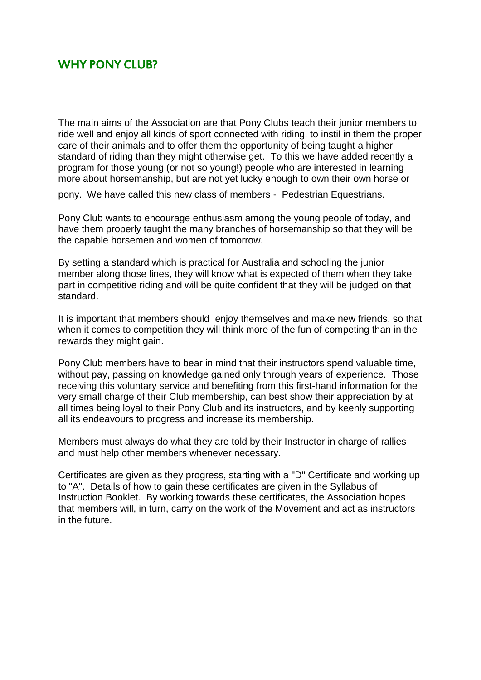## WHY PONY CLUB?

The main aims of the Association are that Pony Clubs teach their junior members to ride well and enjoy all kinds of sport connected with riding, to instil in them the proper care of their animals and to offer them the opportunity of being taught a higher standard of riding than they might otherwise get. To this we have added recently a program for those young (or not so young!) people who are interested in learning more about horsemanship, but are not yet lucky enough to own their own horse or

pony. We have called this new class of members - Pedestrian Equestrians.

Pony Club wants to encourage enthusiasm among the young people of today, and have them properly taught the many branches of horsemanship so that they will be the capable horsemen and women of tomorrow.

By setting a standard which is practical for Australia and schooling the junior member along those lines, they will know what is expected of them when they take part in competitive riding and will be quite confident that they will be judged on that standard.

It is important that members should enjoy themselves and make new friends, so that when it comes to competition they will think more of the fun of competing than in the rewards they might gain.

Pony Club members have to bear in mind that their instructors spend valuable time, without pay, passing on knowledge gained only through years of experience. Those receiving this voluntary service and benefiting from this first-hand information for the very small charge of their Club membership, can best show their appreciation by at all times being loyal to their Pony Club and its instructors, and by keenly supporting all its endeavours to progress and increase its membership.

Members must always do what they are told by their Instructor in charge of rallies and must help other members whenever necessary.

Certificates are given as they progress, starting with a "D" Certificate and working up to "A". Details of how to gain these certificates are given in the Syllabus of Instruction Booklet. By working towards these certificates, the Association hopes that members will, in turn, carry on the work of the Movement and act as instructors in the future.